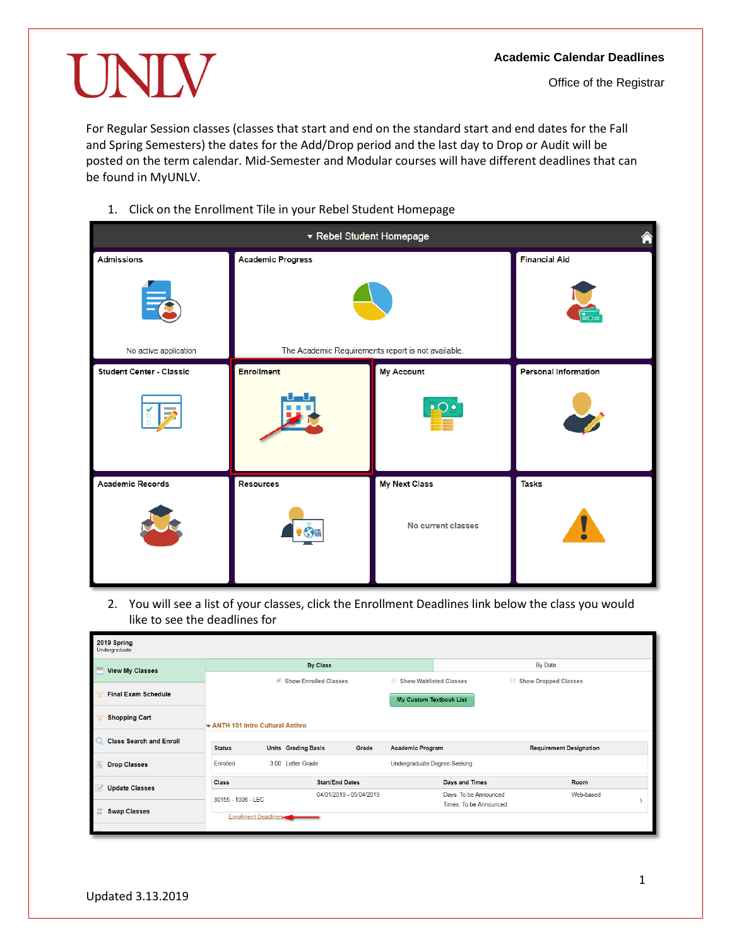## UNIV

For Regular Session classes (classes that start and end on the standard start and end dates for the Fall and Spring Semesters) the dates for the Add/Drop period and the last day to Drop or Audit will be posted on the term calendar. Mid-Semester and Modular courses will have different deadlines that can be found in MyUNLV.

1. Click on the Enrollment Tile in your Rebel Student Homepage

| ▼ Rebel Student Homepage                           |                                                    |                      |                             |  |
|----------------------------------------------------|----------------------------------------------------|----------------------|-----------------------------|--|
| <b>Admissions</b>                                  | <b>Academic Progress</b>                           | <b>Financial Aid</b> |                             |  |
| $\equiv$                                           |                                                    |                      |                             |  |
| No active application                              | The Academic Requirements report is not available. |                      |                             |  |
| <b>Student Center - Classic</b>                    | <b>Enrollment</b>                                  | <b>My Account</b>    | <b>Personal Information</b> |  |
| <b>Contract</b><br>$\rightarrow$<br>$\mathbb{Z}^2$ |                                                    | $\bullet$            |                             |  |
| <b>Academic Records</b>                            | <b>Resources</b>                                   | <b>My Next Class</b> | <b>Tasks</b>                |  |
|                                                    |                                                    | No current classes   |                             |  |

2. You will see a list of your classes, click the Enrollment Deadlines link below the class you would like to see the deadlines for

| 2019 Spring<br>Undergraduate               |                                |                            |                         |                              |                        |                                |           |  |
|--------------------------------------------|--------------------------------|----------------------------|-------------------------|------------------------------|------------------------|--------------------------------|-----------|--|
| <b>View My Classes</b>                     | <b>By Class</b>                |                            |                         |                              | By Date                |                                |           |  |
|                                            | Show Enrolled Classes          |                            | Show Waitlisted Classes |                              | Show Dropped Classes   |                                |           |  |
| <b>Final Exam Schedule</b>                 |                                |                            |                         | My Custom Textbook List      |                        |                                |           |  |
| <b>Shopping Cart</b>                       | ANTH 101 Intro Cultural Anthro |                            |                         |                              |                        |                                |           |  |
| $\Omega$<br><b>Class Search and Enroll</b> |                                |                            |                         |                              |                        |                                |           |  |
|                                            | <b>Status</b>                  | <b>Units</b> Grading Basis | Grade                   | <b>Academic Program</b>      |                        | <b>Requirement Designation</b> |           |  |
| <b>Drop Classes</b>                        | Enrolled                       | 3.00 Letter Grade          |                         | Undergraduate Degree-Seeking |                        |                                |           |  |
| <b>Update Classes</b>                      | <b>Class</b>                   | <b>Start/End Dates</b>     |                         |                              | <b>Days and Times</b>  |                                | Room      |  |
|                                            | 30155 - 1006 - LEC             |                            | 04/01/2019 - 05/04/2019 |                              | Days: To be Announced  |                                | Web-based |  |
| <b>Swap Classes</b>                        |                                |                            |                         |                              | Times: To be Announced |                                |           |  |
|                                            | <b>Enrollment Deadlines</b>    |                            |                         |                              |                        |                                |           |  |
|                                            |                                |                            |                         |                              |                        |                                |           |  |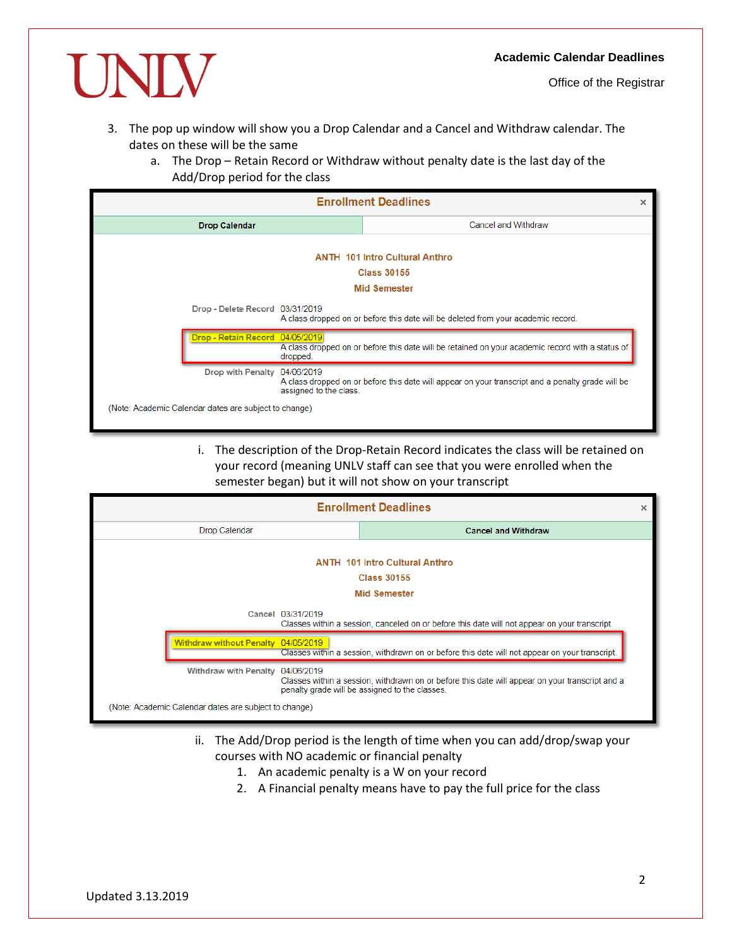

Office of the Registrar

- 3. The pop up window will show you a Drop Calendar and a Cancel and Withdraw calendar. The dates on these will be the same
	- a. The Drop Retain Record or Withdraw without penalty date is the last day of the Add/Drop period for the class

| <b>Enrollment Deadlines</b> |                                                       |                        |                                                                                                   | × |
|-----------------------------|-------------------------------------------------------|------------------------|---------------------------------------------------------------------------------------------------|---|
| <b>Drop Calendar</b>        |                                                       |                        | Cancel and Withdraw                                                                               |   |
|                             |                                                       |                        | <b>ANTH 101 Intro Cultural Anthro</b><br><b>Class 30155</b>                                       |   |
|                             |                                                       |                        | <b>Mid Semester</b>                                                                               |   |
|                             | Drop - Delete Record 03/31/2019                       |                        | A class dropped on or before this date will be deleted from your academic record.                 |   |
|                             | Drop - Retain Record 04/05/2019                       | dropped.               | A class dropped on or before this date will be retained on your academic record with a status of  |   |
|                             | Drop with Penalty 04/06/2019                          | assigned to the class. | A class dropped on or before this date will appear on your transcript and a penalty grade will be |   |
|                             | (Note: Academic Calendar dates are subject to change) |                        |                                                                                                   |   |

i. The description of the Drop-Retain Record indicates the class will be retained on your record (meaning UNLV staff can see that you were enrolled when the semester began) but it will not show on your transcript



- ii. The Add/Drop period is the length of time when you can add/drop/swap your courses with NO academic or financial penalty
	- 1. An academic penalty is a W on your record
	- 2. A Financial penalty means have to pay the full price for the class